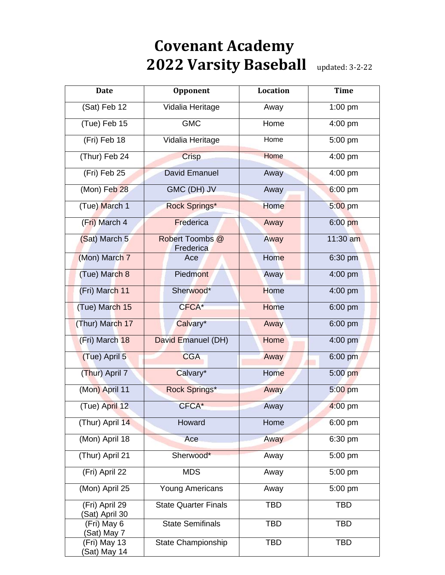## **Covenant Academy 2022 Varsity Baseball** updated: 3-2-22

| <b>Date</b>                     | Opponent                     | Location    | <b>Time</b> |
|---------------------------------|------------------------------|-------------|-------------|
| (Sat) Feb 12                    | Vidalia Heritage             | Away        | 1:00 pm     |
| (Tue) Feb 15                    | <b>GMC</b>                   | Home        | 4:00 pm     |
| (Fri) Feb 18                    | Vidalia Heritage             | Home        | 5:00 pm     |
| (Thur) Feb 24                   | Crisp                        | Home        | 4:00 pm     |
| (Fri) Feb 25                    | <b>David Emanuel</b>         | Away        | 4:00 pm     |
| (Mon) Feb 28                    | GMC (DH) JV                  | Away        | 6:00 pm     |
| (Tue) March 1                   | Rock Springs*                | <b>Home</b> | 5:00 pm     |
| (Fri) March 4                   | Frederica                    | Away        | $6:00$ pm   |
| (Sat) March 5                   | Robert Toombs @<br>Frederica | Away        | 11:30 am    |
| (Mon) March 7                   | Ace                          | <b>Home</b> | 6:30 pm     |
| (Tue) March 8                   | Piedmont                     | Away        | 4:00 pm     |
| (Fri) March 11                  | Sherwood*                    | Home        | 4:00 pm     |
| (Tue) March 15                  | CFCA*                        | Home        | 6:00 pm     |
| (Thur) March 17                 | Calvary*                     | Away        | 6:00 pm     |
| (Fri) March 18                  | David Emanuel (DH)           | Home        | 4:00 pm     |
| (Tue) April 5                   | <b>CGA</b>                   | Away        | 6:00 pm     |
| (Thur) April 7                  | Calvary*                     | <b>Home</b> | 5:00 pm     |
| (Mon) April 11                  | Rock Springs*                | Away        | 5:00 pm     |
| (Tue) April 12                  | CFCA*                        | Away        | $4:00$ pm   |
| (Thur) April 14                 | Howard                       | Home        | 6:00 pm     |
| (Mon) April 18                  | Ace                          | Away        | 6:30 pm     |
| (Thur) April 21                 | Sherwood*                    | Away        | 5:00 pm     |
| (Fri) April 22                  | <b>MDS</b>                   | Away        | 5:00 pm     |
| (Mon) April 25                  | <b>Young Americans</b>       | Away        | 5:00 pm     |
| (Fri) April 29<br>Sat) April 30 | <b>State Quarter Finals</b>  | <b>TBD</b>  | <b>TBD</b>  |
| (Fri) May 6<br>(Sat) May 7      | <b>State Semifinals</b>      | <b>TBD</b>  | <b>TBD</b>  |
| (Fri) May 13<br>(Sat) May 14    | State Championship           | <b>TBD</b>  | <b>TBD</b>  |